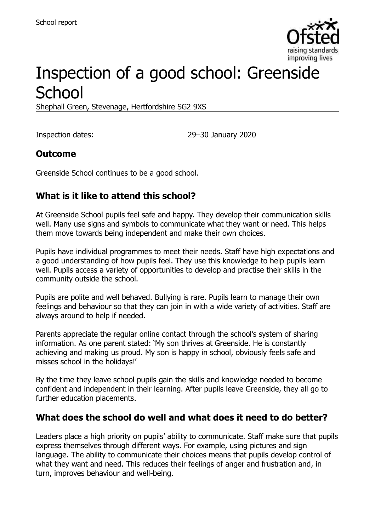

# Inspection of a good school: Greenside **School**

Shephall Green, Stevenage, Hertfordshire SG2 9XS

Inspection dates: 29–30 January 2020

#### **Outcome**

Greenside School continues to be a good school.

# **What is it like to attend this school?**

At Greenside School pupils feel safe and happy. They develop their communication skills well. Many use signs and symbols to communicate what they want or need. This helps them move towards being independent and make their own choices.

Pupils have individual programmes to meet their needs. Staff have high expectations and a good understanding of how pupils feel. They use this knowledge to help pupils learn well. Pupils access a variety of opportunities to develop and practise their skills in the community outside the school.

Pupils are polite and well behaved. Bullying is rare. Pupils learn to manage their own feelings and behaviour so that they can join in with a wide variety of activities. Staff are always around to help if needed.

Parents appreciate the regular online contact through the school's system of sharing information. As one parent stated: 'My son thrives at Greenside. He is constantly achieving and making us proud. My son is happy in school, obviously feels safe and misses school in the holidays!'

By the time they leave school pupils gain the skills and knowledge needed to become confident and independent in their learning. After pupils leave Greenside, they all go to further education placements.

# **What does the school do well and what does it need to do better?**

Leaders place a high priority on pupils' ability to communicate. Staff make sure that pupils express themselves through different ways. For example, using pictures and sign language. The ability to communicate their choices means that pupils develop control of what they want and need. This reduces their feelings of anger and frustration and, in turn, improves behaviour and well-being.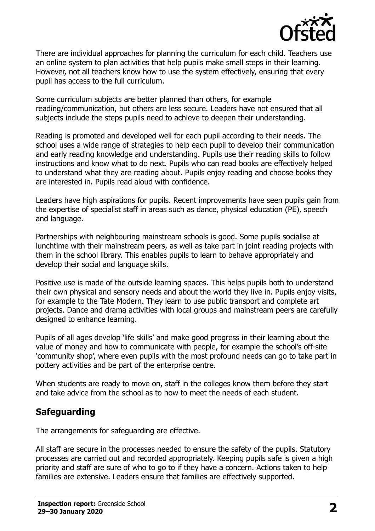

There are individual approaches for planning the curriculum for each child. Teachers use an online system to plan activities that help pupils make small steps in their learning. However, not all teachers know how to use the system effectively, ensuring that every pupil has access to the full curriculum.

Some curriculum subjects are better planned than others, for example reading/communication, but others are less secure. Leaders have not ensured that all subjects include the steps pupils need to achieve to deepen their understanding.

Reading is promoted and developed well for each pupil according to their needs. The school uses a wide range of strategies to help each pupil to develop their communication and early reading knowledge and understanding. Pupils use their reading skills to follow instructions and know what to do next. Pupils who can read books are effectively helped to understand what they are reading about. Pupils enjoy reading and choose books they are interested in. Pupils read aloud with confidence.

Leaders have high aspirations for pupils. Recent improvements have seen pupils gain from the expertise of specialist staff in areas such as dance, physical education (PE), speech and language.

Partnerships with neighbouring mainstream schools is good. Some pupils socialise at lunchtime with their mainstream peers, as well as take part in joint reading projects with them in the school library. This enables pupils to learn to behave appropriately and develop their social and language skills.

Positive use is made of the outside learning spaces. This helps pupils both to understand their own physical and sensory needs and about the world they live in. Pupils enjoy visits, for example to the Tate Modern. They learn to use public transport and complete art projects. Dance and drama activities with local groups and mainstream peers are carefully designed to enhance learning.

Pupils of all ages develop 'life skills' and make good progress in their learning about the value of money and how to communicate with people, for example the school's off-site 'community shop', where even pupils with the most profound needs can go to take part in pottery activities and be part of the enterprise centre.

When students are ready to move on, staff in the colleges know them before they start and take advice from the school as to how to meet the needs of each student.

# **Safeguarding**

The arrangements for safeguarding are effective.

All staff are secure in the processes needed to ensure the safety of the pupils. Statutory processes are carried out and recorded appropriately. Keeping pupils safe is given a high priority and staff are sure of who to go to if they have a concern. Actions taken to help families are extensive. Leaders ensure that families are effectively supported.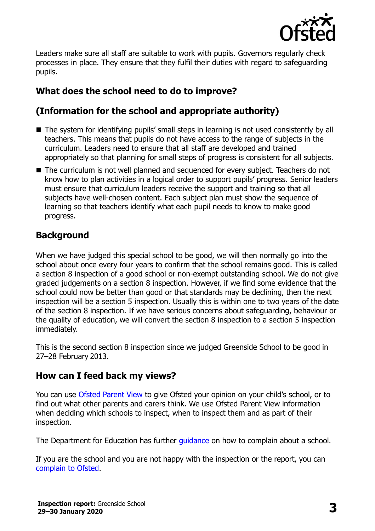

Leaders make sure all staff are suitable to work with pupils. Governors regularly check processes in place. They ensure that they fulfil their duties with regard to safeguarding pupils.

# **What does the school need to do to improve?**

# **(Information for the school and appropriate authority)**

- The system for identifying pupils' small steps in learning is not used consistently by all teachers. This means that pupils do not have access to the range of subjects in the curriculum. Leaders need to ensure that all staff are developed and trained appropriately so that planning for small steps of progress is consistent for all subjects.
- The curriculum is not well planned and sequenced for every subject. Teachers do not know how to plan activities in a logical order to support pupils' progress. Senior leaders must ensure that curriculum leaders receive the support and training so that all subjects have well-chosen content. Each subject plan must show the sequence of learning so that teachers identify what each pupil needs to know to make good progress.

# **Background**

When we have judged this special school to be good, we will then normally go into the school about once every four years to confirm that the school remains good. This is called a section 8 inspection of a good school or non-exempt outstanding school. We do not give graded judgements on a section 8 inspection. However, if we find some evidence that the school could now be better than good or that standards may be declining, then the next inspection will be a section 5 inspection. Usually this is within one to two years of the date of the section 8 inspection. If we have serious concerns about safeguarding, behaviour or the quality of education, we will convert the section 8 inspection to a section 5 inspection immediately.

This is the second section 8 inspection since we judged Greenside School to be good in 27–28 February 2013.

# **How can I feed back my views?**

You can use [Ofsted Parent View](https://parentview.ofsted.gov.uk/) to give Ofsted your opinion on your child's school, or to find out what other parents and carers think. We use Ofsted Parent View information when deciding which schools to inspect, when to inspect them and as part of their inspection.

The Department for Education has further [guidance](http://www.gov.uk/complain-about-school) on how to complain about a school.

If you are the school and you are not happy with the inspection or the report, you can [complain to Ofsted.](https://www.gov.uk/complain-ofsted-report)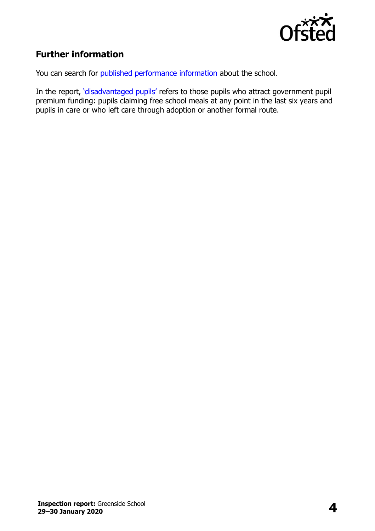

# **Further information**

You can search for [published performance information](http://www.compare-school-performance.service.gov.uk/) about the school.

In the report, '[disadvantaged pupils](http://www.gov.uk/guidance/pupil-premium-information-for-schools-and-alternative-provision-settings)' refers to those pupils who attract government pupil premium funding: pupils claiming free school meals at any point in the last six years and pupils in care or who left care through adoption or another formal route.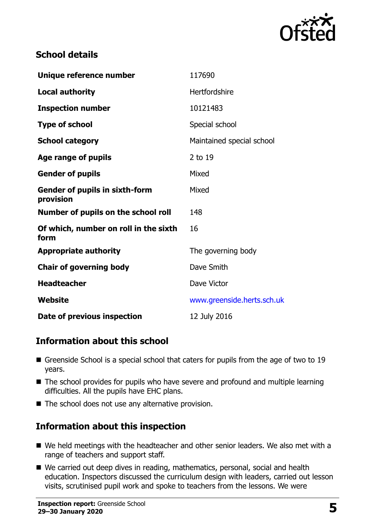

#### **School details**

| Unique reference number                            | 117690                     |
|----------------------------------------------------|----------------------------|
| <b>Local authority</b>                             | Hertfordshire              |
| <b>Inspection number</b>                           | 10121483                   |
| <b>Type of school</b>                              | Special school             |
| <b>School category</b>                             | Maintained special school  |
| Age range of pupils                                | 2 to 19                    |
| <b>Gender of pupils</b>                            | Mixed                      |
| <b>Gender of pupils in sixth-form</b><br>provision | Mixed                      |
| Number of pupils on the school roll                | 148                        |
| Of which, number on roll in the sixth<br>form      | 16                         |
| <b>Appropriate authority</b>                       | The governing body         |
| <b>Chair of governing body</b>                     | Dave Smith                 |
| <b>Headteacher</b>                                 | Dave Victor                |
| Website                                            | www.greenside.herts.sch.uk |
| Date of previous inspection                        | 12 July 2016               |

# **Information about this school**

- Greenside School is a special school that caters for pupils from the age of two to 19 years.
- The school provides for pupils who have severe and profound and multiple learning difficulties. All the pupils have EHC plans.
- $\blacksquare$  The school does not use any alternative provision.

# **Information about this inspection**

- We held meetings with the headteacher and other senior leaders. We also met with a range of teachers and support staff.
- We carried out deep dives in reading, mathematics, personal, social and health education. Inspectors discussed the curriculum design with leaders, carried out lesson visits, scrutinised pupil work and spoke to teachers from the lessons. We were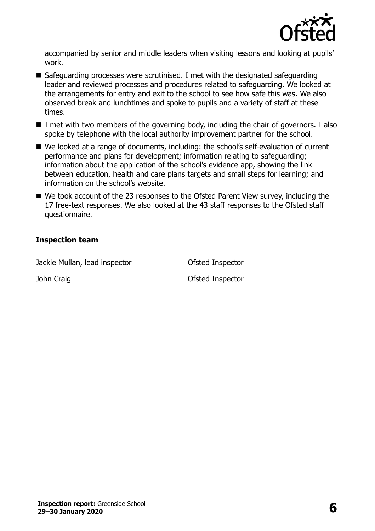

accompanied by senior and middle leaders when visiting lessons and looking at pupils' work.

- $\blacksquare$  Safeguarding processes were scrutinised. I met with the designated safeguarding leader and reviewed processes and procedures related to safeguarding. We looked at the arrangements for entry and exit to the school to see how safe this was. We also observed break and lunchtimes and spoke to pupils and a variety of staff at these times.
- $\blacksquare$  I met with two members of the governing body, including the chair of governors. I also spoke by telephone with the local authority improvement partner for the school.
- We looked at a range of documents, including: the school's self-evaluation of current performance and plans for development; information relating to safeguarding; information about the application of the school's evidence app, showing the link between education, health and care plans targets and small steps for learning; and information on the school's website.
- We took account of the 23 responses to the Ofsted Parent View survey, including the 17 free-text responses. We also looked at the 43 staff responses to the Ofsted staff questionnaire.

#### **Inspection team**

Jackie Mullan, lead inspector Ofsted Inspector

John Craig **Disk Craig Craig Craig Craig Craig Craig Craig Craig Craig Craig Craig Craig Craig Craig Craig Craig Craig Craig Craig Craig Craig Craig Craig Craig Craig Craig Craig Craig Craig Craig Craig Craig Craig Craig C**